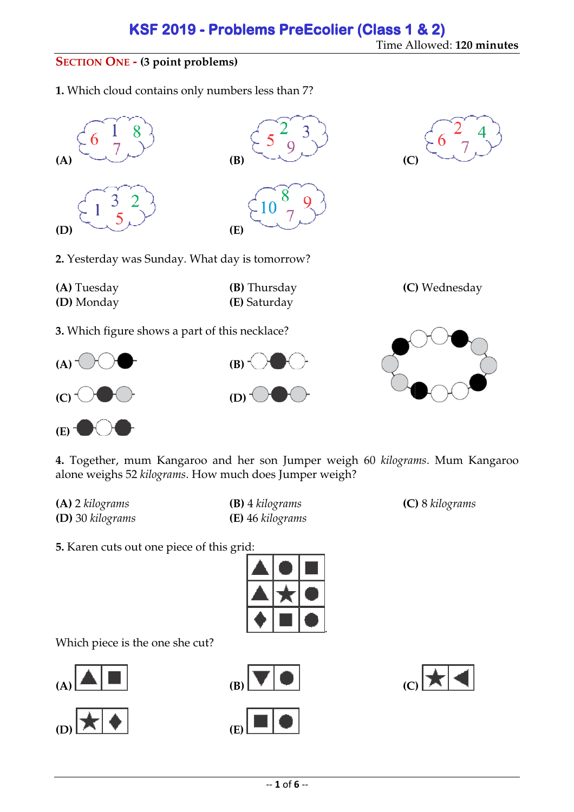### **SECTION ONE - (3 point problems)**

**1.** Which cloud contains only numbers less than 7?



**(E)**

**4.** Together, mum Kangaroo and her son Jumper weigh 60 *kilograms* . Mum Kangaroo alone weighs 52 *kilograms*. How much does Jumper weigh?

**(A)** 2 *kilograms* **(D)** 30 *kilograms*

**(B)** 4 *kilograms* **(C) (E)** 46 *kilograms* 

8 *kilograms*

**5.** Karen cuts out one piece of this grid:



Which piece is the one she cut?







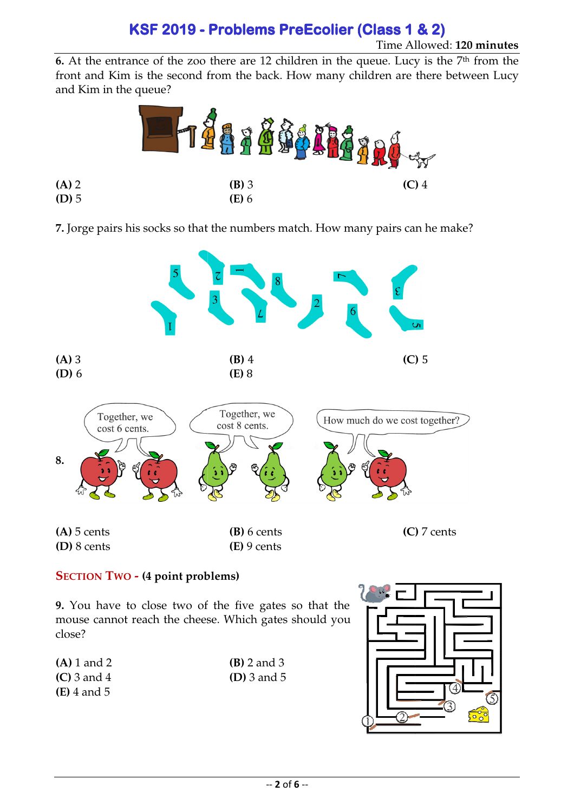## **KSF 2019 2019- Problems PreEcolier (Class 1 & 2) 2)**

### Time Allowed: **120 minutes**

**6.** At the entrance of the zoo there are 12 children in the queue. Lucy is the 7<sup>th</sup> from the front and Kim is the second from the back. How many children are there between Lucy and Kim in the queue?



**7.** Jorge pairs his socks so that the numbers match. How many pairs can he make?



### **SECTION TWO - (4 point problems)**

**(A)** 2 **(D)** 5

**9.** You have to close two of the five gates so that the mouse cannot reach the cheese. Which gates should you close?

| $(A) 1$ and 2 | $(B)$ 2 and 3 |
|---------------|---------------|
| $(C)$ 3 and 4 | $(D)$ 3 and 5 |
| $(E)$ 4 and 5 |               |

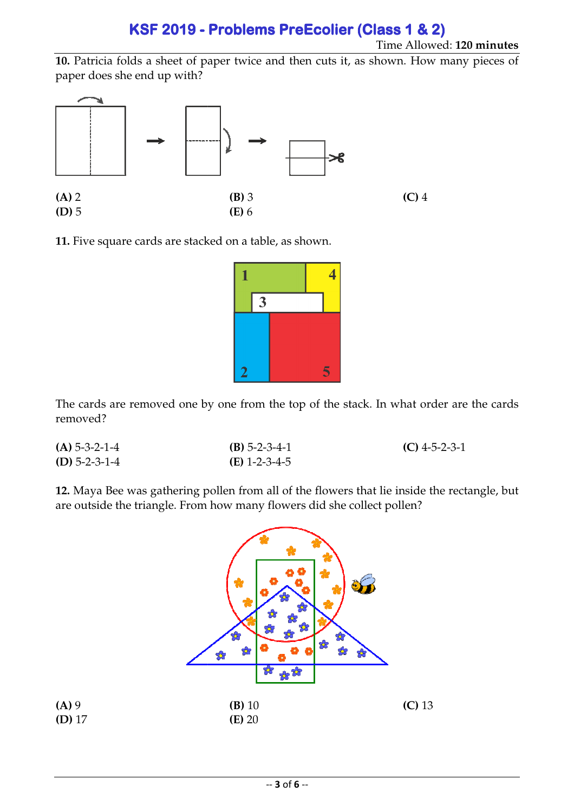# **KSF 2019 2019- Problems PreEcolier (Class 1 & 2) 2)**

Time Allowed: **120 minutes**

10. Patricia folds a sheet of paper twice and then cuts it, as shown. How many pieces of paper does she end up with?



**11.** Five square cards are stacked on a table, as shown.



The cards are removed one by one from the top of the stack. In what order are the cards removed?

| $(A)$ 5-3-2-1-4 | $(B)$ 5-2-3-4-1 | $(C)$ 4-5-2-3-1 |
|-----------------|-----------------|-----------------|
| (D) $5-2-3-1-4$ | $(E)$ 1-2-3-4-5 |                 |

**12.** Maya Bee was gathering pollen from all of the flowers that lie inside the rectangle, but are outside the triangle. From how many flowers did she collect pollen?

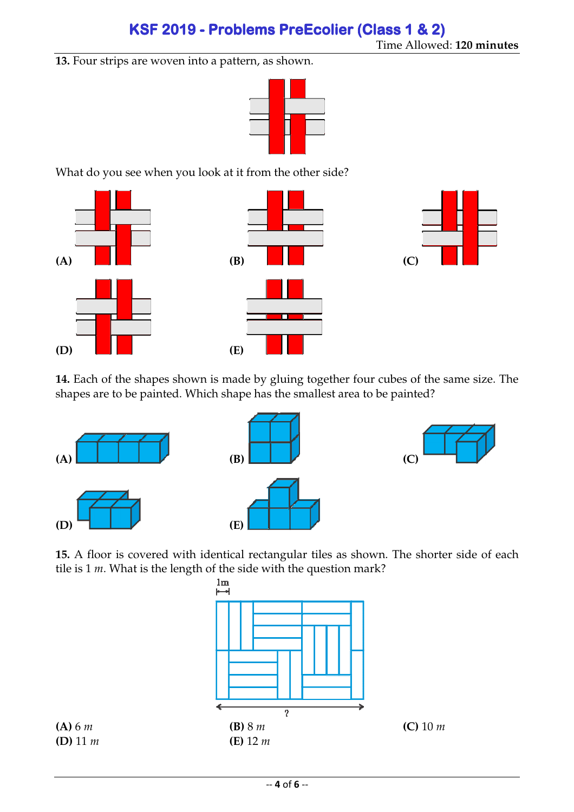**13.** Four strips are woven into a pattern, as shown.



What do you see when you look at it from the other side?



**14.** Each of the shapes shown is made by gluing together four cubes of the same size. The shapes are to be painted. Which shape has the smallest area to be painted?



**15.** A floor is covered with identical rectangular tiles as shown. The shorter side of each tile is 1 *m*. What is the length of the side with the question mark?

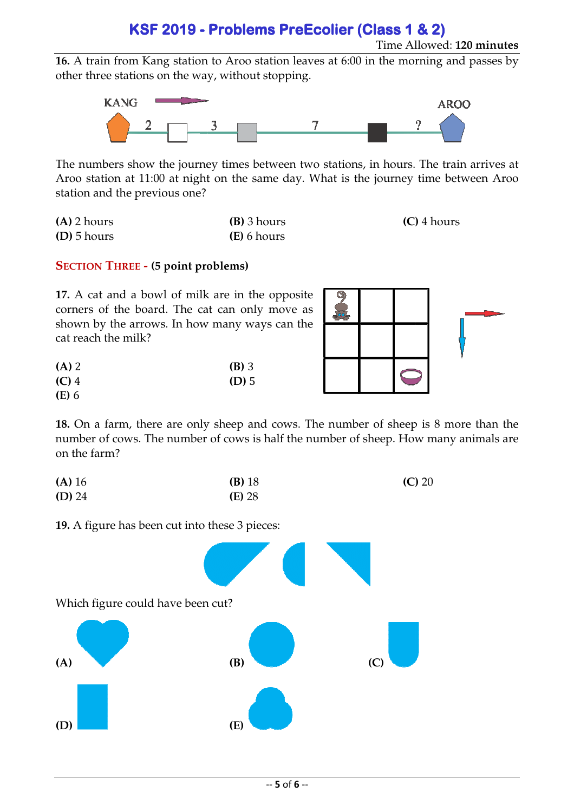## **KSF 2019 2019- Problems PreEcolier (Class 1 & 2) 2)**

Time Allowed: **120 minutes**

**16.** A train from Kang station to Aroo station leaves at 6:00 in the morning and passes by other three stations on the way, without stopping.



The numbers show the journey times between two stations, in hours. The train arrives at Aroo station at 11:00 at night on the same day. What is the journey time between Aroo station and the previous one?

| $(A)$ 2 hours | $(B)$ 3 hours | $(C)$ 4 hours |
|---------------|---------------|---------------|
| $(D)$ 5 hours | (E) 6 hours   |               |

### **SECTION THREE - (5 point problems)**

**17.** A cat and a bowl of milk are in the opposite corners of the board. The cat can only move as shown by the arrows. In how many ways can the cat reach the milk?

| $(A)$ 2      | $(B)$ 3 |
|--------------|---------|
| $(C)$ 4      | $(D)$ 5 |
| <b>(E)</b> 6 |         |



**18.** On a farm, there are only sheep and cows. The number of sheep is 8 more than the number of cows. The number of cows is half the number of sheep. How many animals are on the farm?

| (A) 16   | $(B)$ 18 | $(C)$ 20 |
|----------|----------|----------|
| $(D)$ 24 | $(E)$ 28 |          |

**19.** A figure has been cut into these 3 pieces: